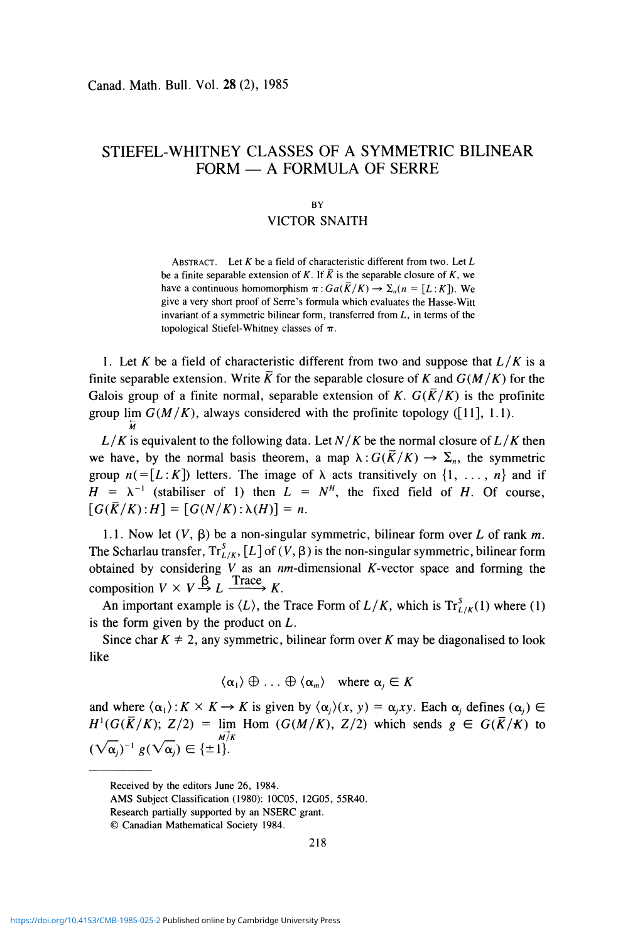# **STIEFEL-WHITNEY CLASSES OF A SYMMETRIC BILINEAR FORM — A FORMULA OF SERRE**

## **BY**

## VICTOR SNAITH

ABSTRACT. Let *K* be a field of characteristic different from two. Let *L*  be a finite separable extension of K. If  $\overline{K}$  is the separable closure of K, we have a continuous homomorphism  $\pi$ :  $Ga(\overline{K}/K) \rightarrow \Sigma_n (n = [L:K])$ . We give a very short proof of Serre's formula which evaluates the Hasse-Witt invariant of a symmetric bilinear form, transferred from *L,* in terms of the topological Stiefel-Whitney classes of  $\pi$ .

1. Let *K* be a field of characteristic different from two and suppose that *L/K* is a finite separable extension. Write  $\overline{K}$  for the separable closure of K and  $G(M/K)$  for the Galois group of a finite normal, separable extension of K.  $G(\overline{K}/K)$  is the profinite group lim  $G(M/K)$ , always considered with the profinite topology ([11], 1.1). **M** 

 $L/K$  is equivalent to the following data. Let  $N/K$  be the normal closure of  $L/K$  then we have, by the normal basis theorem, a map  $\lambda: G(\overline{K}/K) \to \Sigma_n$ , the symmetric group  $n (= [L:K])$  letters. The image of  $\lambda$  acts transitively on  $\{1, \ldots, n\}$  and if  $H = \lambda^{-1}$  (stabiliser of 1) then  $L = N^H$ , the fixed field of *H*. Of course,  $[G(\bar{K}/K):H] = [G(N/K):\lambda(H)] = n.$ 

1.1. Now let  $(V, \beta)$  be a non-singular symmetric, bilinear form over *L* of rank *m*. The Scharlau transfer,  $Tr_{L/K}^{S}$ ,  $[L]$  of  $(V, \beta)$  is the non-singular symmetric, bilinear form obtained by considering *V* as an nm-dimensional A'-vector space and forming the composition  $V \times V \stackrel{\beta}{\rightarrow} L \xrightarrow{\text{Trace}} K$ .

An important example is  $\langle L \rangle$ , the Trace Form of  $L/K$ , which is  $Tr_{L/K}^{S}(1)$  where (1) is the form given by the product on *L.* 

Since char  $K \neq 2$ , any symmetric, bilinear form over K may be diagonalised to look like

 $\langle \alpha_1 \rangle \oplus \ldots \oplus \langle \alpha_m \rangle$  where  $\alpha_i \in K$ 

and where  $\langle \alpha_1 \rangle$ :  $K \times K \rightarrow K$  is given by  $\langle \alpha_i \rangle(x, y) = \alpha_i xy$ . Each  $\alpha_i$  defines  $(\alpha_i) \in$  $H^1(G(\overline{K}/K); Z/2) =$  lim Hom  $(G(M/K), Z/2)$  which sends  $g \in G(\overline{K}/K)$  to  $(\sqrt{\alpha_j})^{-1} g(\sqrt{\alpha_j}) \in {\{\pm 1\}}$ .

Received by the editors June 26, 1984.

AMS Subject Classification (1980): 10C05, 12G05, 55R40.

Research partially supported by an NSERC grant.

<sup>©</sup> Canadian Mathematical Society 1984.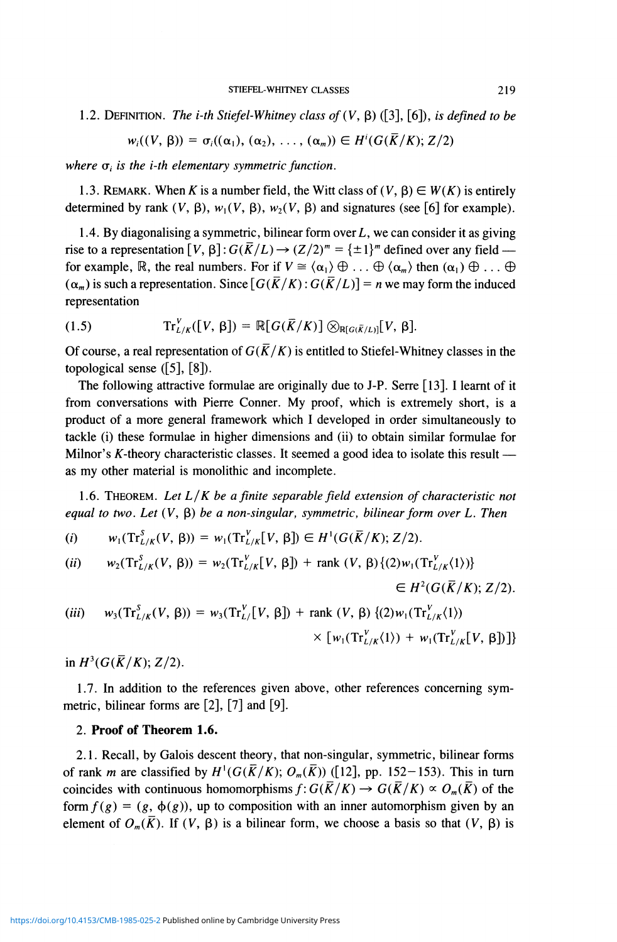1.2. DEFINITION. The *i-th Stiefel-Whitney class of*  $(V, \beta)$  ([3], [6]), *is defined to be* 

$$
w_i((V, \beta)) = \sigma_i((\alpha_1), (\alpha_2), \ldots, (\alpha_m)) \in H^i(G(\overline{K}/K); Z/2)
$$

where  $\sigma_i$  is the *i-th elementary symmetric function*.

1.3. REMARK. When K is a number field, the Witt class of  $(V, \beta) \in W(K)$  is entirely determined by rank  $(V, \beta)$ ,  $w_1(V, \beta)$ ,  $w_2(V, \beta)$  and signatures (see [6] for example).

1.4. By diagonalising a symmetric, bilinear form over  $L$ , we can consider it as giving rise to a representation  $[V, \beta]$ :  $G(\overline{K}/L) \rightarrow (Z/2)^m = {\pm 1}^m$  defined over any field for example, R, the real numbers. For if  $V \cong \langle \alpha_1 \rangle \oplus \ldots \oplus \langle \alpha_m \rangle$  then  $(\alpha_1) \oplus \ldots \oplus$  $(\alpha_m)$  is such a representation. Since  $\lceil G(\bar{K}/K) : G(\bar{K}/L) \rceil = n$  we may form the induced representation

$$
(1.5) \tTr_{L/K}^V([V, \beta]) = \mathbb{R}[G(\overline{K}/K)] \otimes_{\mathbb{R}[G(\overline{K}/L)]}[V, \beta].
$$

Of course, a real representation of  $G(\overline{K}/K)$  is entitled to Stiefel-Whitney classes in the topological sense  $(5, 8)$ .

The following attractive formulae are originally due to J-P. Serre [13]. I learnt of it from conversations with Pierre Conner. My proof, which is extremely short, is a product of a more general framework which I developed in order simultaneously to tackle (i) these formulae in higher dimensions and (ii) to obtain similar formulae for Milnor's  $K$ -theory characteristic classes. It seemed a good idea to isolate this result as my other material is monolithic and incomplete.

1.6. THEOREM. *Let L/K be a finite separable field extension of characteristic not equal to two. Let*  $(V, \beta)$  *be a non-singular, symmetric, bilinear form over L. Then* 

(i) 
$$
w_1(\text{Tr}_{L/K}^S(V, \beta)) = w_1(\text{Tr}_{L/K}^V[V, \beta]) \in H^1(G(\overline{K}/K); Z/2).
$$

(*ii*) 
$$
w_2(\text{Tr}_{L/K}^S(V, \beta)) = w_2(\text{Tr}_{L/K}^V[V, \beta]) + \text{rank}(V, \beta) \{(2)w_1(\text{Tr}_{L/K}^V(1))\}
$$

 $\in$   $H^2(G(\overline{K}/K); Z/2)$ .

$$
(iii) w3(TrL/KS(V, β)) = w3(TrL/EV(V, β]) + rank (V, β) {(2)w1(TrL/KV(1))× [w1(TrL/KV(1)) + w1(TrL/KV(V, β])]
$$

in  $H^3(G(\bar{K}/K); Z/2)$ .

1.7. In addition to the references given above, other references concerning symmetric, bilinear forms are [2], [7] and [9].

# 2. Proof of Theorem 1.6.

2.1. Recall, by Galois descent theory, that non-singular, symmetric, bilinear forms of rank *m* are classified by  $H^1(G(\overline{K}/K); O_m(\overline{K}))$  ([12], pp. 152-153). This in turn coincides with continuous homomorphisms  $f: G(\bar{K}/K) \to G(\bar{K}/K) \propto O_m(\bar{K})$  of the form  $f(g) = (g, \phi(g))$ , up to composition with an inner automorphism given by an element of  $O_m(\overline{K})$ . If  $(V, \beta)$  is a bilinear form, we choose a basis so that  $(V, \beta)$  is

<https://doi.org/10.4153/CMB-1985-025-2>Published online by Cambridge University Press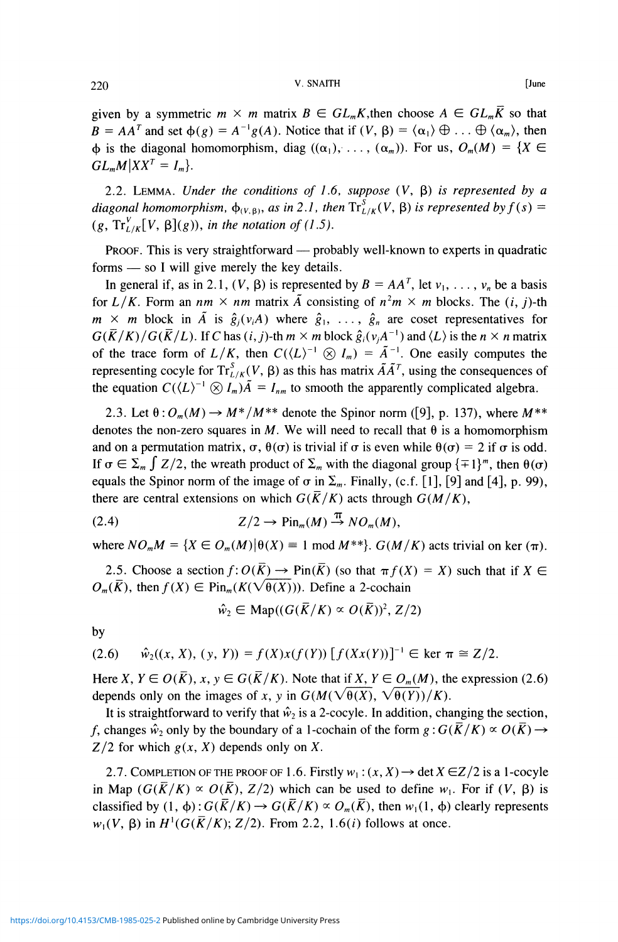# 220 **V. SNAITH [June**

given by a symmetric  $m \times m$  matrix  $B \in GL_m K$ , then choose  $A \in GL_m \overline{K}$  so that  $B = AA^T$  and set  $\phi(g) = A^{-1}g(A)$ . Notice that if  $(V, \beta) = \langle \alpha_1 \rangle \oplus ... \oplus \langle \alpha_m \rangle$ , then  $\phi$  is the diagonal homomorphism, diag  $((\alpha_1), \ldots, (\alpha_m))$ . For us,  $O_m(M) = \{X \in$  $GL_mM|XX^T=I_m\}.$ 

2.2. LEMMA. Under the conditions of 1.6, suppose  $(V, \beta)$  is represented by a diagonal homomorphism,  $\phi_{(V,\beta)}$ , as in 2.1, then  $\text{Tr}^{S}_{L/K}(V,\beta)$  is represented by  $f(s)$  =  $(g, Tr_{I/K}^V[V, \beta](g))$ , in the notation of (1.5).

PROOF. This is very straightforward — probably well-known to experts in quadratic forms — so I will give merely the key details.

In general if, as in 2.1,  $(V, \beta)$  is represented by  $B = AA^T$ , let  $v_1, \ldots, v_n$  be a basis for  $L/K$ . Form an  $nm \times nm$  matrix  $\tilde{A}$  consisting of  $n^2m \times m$  blocks. The  $(i, j)$ -th  $m \times m$  block in  $\tilde{A}$  is  $\hat{g}_i(v_iA)$  where  $\hat{g}_1, \ldots, \hat{g}_n$  are coset representatives for  $G(\overline{K}/K)/G(\overline{K}/L)$ . If C has  $(i, j)$ -th  $m \times m$  block  $\hat{g}_i(v_iA^{-1})$  and  $\langle L \rangle$  is the  $n \times n$  matrix of the trace form of  $L/K$ , then  $C(\langle L \rangle^{-1} \otimes I_m) = \tilde{A}^{-1}$ . One easily computes the representing cocyle for  $\text{Tr}^{S}_{L/K}(V, \beta)$  as this has matrix  $\tilde{A}\tilde{A}^T$ , using the consequences of the equation  $C(\langle L \rangle^{-1} \otimes I_m) \tilde{A} = I_{nm}$  to smooth the apparently complicated algebra.

2.3. Let  $\theta: O_m(M) \to M^*/M^{**}$  denote the Spinor norm ([9], p. 137), where  $M^{**}$ denotes the non-zero squares in M. We will need to recall that  $\theta$  is a homomorphism and on a permutation matrix,  $\sigma$ ,  $\theta(\sigma)$  is trivial if  $\sigma$  is even while  $\theta(\sigma) = 2$  if  $\sigma$  is odd. If  $\sigma \in \Sigma_m$   $\int Z/2$ , the wreath product of  $\Sigma_m$  with the diagonal group  $\{\pm 1\}^m$ , then  $\theta(\sigma)$ equals the Spinor norm of the image of  $\sigma$  in  $\Sigma_m$ . Finally, (c.f. [1], [9] and [4], p. 99), there are central extensions on which  $G(\overline{K}/K)$  acts through  $G(M/K)$ ,

$$
(2.4) \t\t Z/2 \to \operatorname{Pin}_m(M) \stackrel{\pi}{\to} NO_m(M),
$$

where  $NO<sub>m</sub>M = {X \in O<sub>m</sub>(M) | \theta(X) \equiv 1 \text{ mod } M^{**} \}.$   $G(M/K)$  acts trivial on ker  $(\pi)$ .

2.5. Choose a section  $f: O(\overline{K}) \to \text{Pin}(\overline{K})$  (so that  $\pi f(X) = X$ ) such that if  $X \in$  $O_m(\overline{K})$ , then  $f(X) \in \text{Pin}_m(K(\sqrt{\theta(X)}))$ . Define a 2-cochain

$$
\hat{w}_2 \in \mathrm{Map}((G(\overline{K}/K) \propto O(\overline{K}))^2, Z/2)
$$

by

$$
(2.6) \quad \hat{w}_2((x, X), (y, Y)) = f(X)x(f(Y)) [f(Xx(Y))]^{-1} \in \text{ker } \pi \cong Z/2.
$$

Here X,  $Y \in O(\overline{K})$ ,  $x, y \in G(\overline{K}/K)$ . Note that if X,  $Y \in O_m(M)$ , the expression (2.6) depends only on the images of x, y in  $G(M(\sqrt{\theta(X)}, \sqrt{\theta(Y)})/K)$ .

It is straightforward to verify that  $\hat{w}_2$  is a 2-cocyle. In addition, changing the section, *f*, changes  $\hat{w}_2$  only by the boundary of a 1-cochain of the form  $g : G(\overline{K}/K) \propto O(\overline{K}) \rightarrow$  $Z/2$  for which  $g(x, X)$  depends only on X.

2.7. COMPLETION OF THE PROOF OF 1.6. Firstly  $w_1$ :  $(x, X) \rightarrow$  det  $X \in \mathbb{Z}/2$  is a 1-cocyle in Map  $(G(\overline{K}/K) \propto O(\overline{K})$ ,  $Z/2$ ) which can be used to define  $w_1$ . For if  $(V, \beta)$  is classified by  $(1, \phi)$ :  $G(\overline{K}/K) \rightarrow G(\overline{K}/K) \propto O_m(\overline{K})$ , then  $w_1(1, \phi)$  clearly represents  $w_1(V, \beta)$  in  $H^1(G(\overline{K}/K); Z/2)$ . From 2.2, 1.6(*i*) follows at once.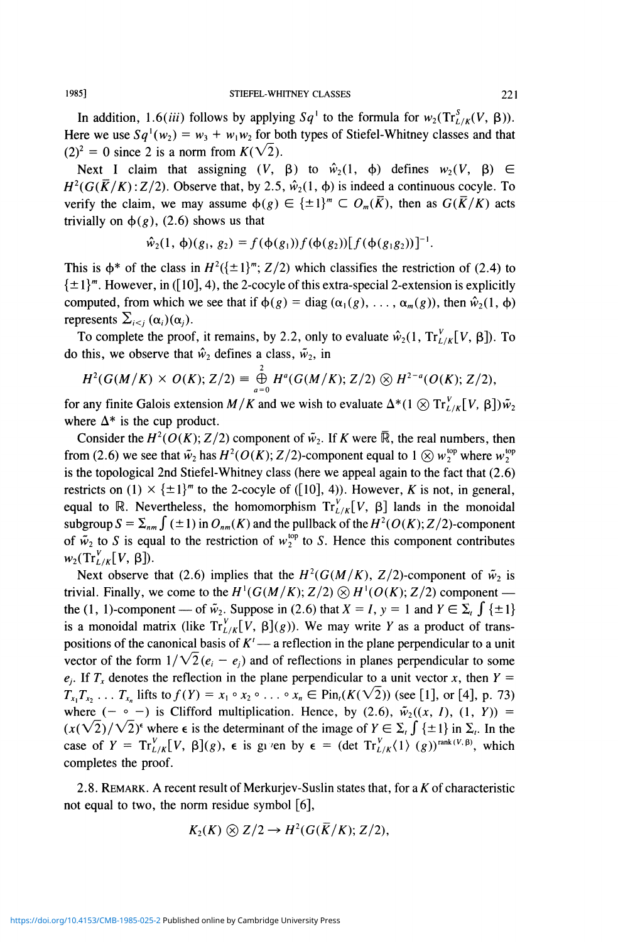In addition, 1.6(*iii*) follows by applying  $Sq^1$  to the formula for  $w_2(\text{Tr}^S_{L/K}(V, \beta))$ . Here we use  $Sq^1(w_2) = w_3 + w_1w_2$  for both types of Stiefel-Whitney classes and that  $(2)^2 = 0$  since 2 is a norm from  $K(\sqrt{2})$ .

Next I claim that assigning  $(V, \beta)$  to  $\hat{w}_2(1, \phi)$  defines  $w_2(V, \beta) \in$  $H^2(G(\overline{K}/K):Z/2)$ . Observe that, by 2.5,  $\hat{w}_2(1, \phi)$  is indeed a continuous cocyle. To verify the claim, we may assume  $\phi(g) \in {\pm 1}^m \subset O_m(\overline{K})$ , then as  $G(\overline{K}/K)$  acts trivially on  $\phi(g)$ , (2.6) shows us that

$$
\hat{w}_2(1, \phi)(g_1, g_2) = f(\phi(g_1))f(\phi(g_2))[f(\phi(g_1g_2))]^{-1}.
$$

This is  $\phi^*$  of the class in  $H^2(\{\pm 1\}^m; Z/2)$  which classifies the restriction of (2.4) to  $\{\pm 1\}^m$ . However, in ([10], 4), the 2-cocyle of this extra-special 2-extension is explicitly computed, from which we see that if  $\phi(g) = \text{diag}(\alpha_1(g), \ldots, \alpha_m(g))$ , then  $\hat{w}_2(1, \phi)$ represents  $\sum_{i \leq j} (\alpha_i)(\alpha_j)$ .

To complete the proof, it remains, by 2.2, only to evaluate  $\hat{w}_2(1, Tr_{L/K}^V[V, \beta])$ . To do this, we observe that  $\hat{w}_2$  defines a class,  $\tilde{w}_2$ , in

$$
H^2(G(M/K)\times O(K); Z/2) \equiv \bigoplus_{a=0}^2 H^a(G(M/K); Z/2) \otimes H^{2-a}(O(K); Z/2),
$$

for any finite Galois extension  $M/K$  and we wish to evaluate  $\Delta^*(1 \otimes \text{Tr}_{L/K}^V[V, \beta])\tilde{w}_2$ where  $\Delta^*$  is the cup product.

Consider the  $H^2(O(K); Z/2)$  component of  $\tilde{w}_2$ . If K were  $\overline{\mathbb{R}}$ , the real numbers, then from (2.6) we see that  $\tilde{w}_2$  has  $H^2(O(K); Z/2)$ -component equal to  $1 \otimes w_2^{\text{top}}$  where  $w_2^{\text{top}}$ is the topological 2nd Stiefel-Whitney class (here we appeal again to the fact that (2.6) restricts on (1)  $\times$  { $\pm$ 1}<sup>*m*</sup> to the 2-cocyle of ([10], 4)). However, *K* is not, in general, equal to R. Nevertheless, the homomorphism  $Tr_{L/K}^{V}[V, \beta]$  lands in the monoidal subgroup  $S = \sum_{nm} \int (\pm 1)$  in  $O_{nm}(K)$  and the pullback of the  $H^2(O(K); Z/2)$ -component of  $\tilde{w}_2$  to *S* is equal to the restriction of  $w_2^{\text{top}}$  to *S*. Hence this component contributes  $w_2(\text{Tr}_{L/K}^V[V, \beta]).$ 

Next observe that (2.6) implies that the  $H^2(G(M/K), Z/2)$ -component of  $\tilde{w}_2$  is trivial. Finally, we come to the  $H^1(G(M/K); Z/2) \otimes H^1(O(K); Z/2)$  component the (1, 1)-component — of  $\tilde{w}_2$ . Suppose in (2.6) that  $X = I$ ,  $y = 1$  and  $Y \in \Sigma$ ,  $\int {\pm 1}$ is a monoidal matrix (like  $Tr_{L/K}^V[V, \beta](g)$ ). We may write *Y* as a product of transpositions of the canonical basis of  $K'$  — a reflection in the plane perpendicular to a unit vector of the form  $1/\sqrt{2}(e_i - e_i)$  and of reflections in planes perpendicular to some  $e_i$ . If  $T_x$  denotes the reflection in the plane perpendicular to a unit vector x, then  $Y =$  $T_{x_1}T_{x_2} \ldots T_{x_n}$  lifts to  $f(Y) = x_1 \circ x_2 \circ \ldots \circ x_n \in \text{Pin}_1(K(\sqrt{2}))$  (see [1], or [4], p. 73) where  $(- \circ -)$  is Clifford multiplication. Hence, by (2.6),  $\tilde{w}_2((x, 1), (1, Y)) =$  $(x(\sqrt{2})/\sqrt{2})^{\epsilon}$  where  $\epsilon$  is the determinant of the image of  $Y \in \Sigma_{\epsilon} \int {\pm 1}$  in  $\Sigma_{\epsilon}$ . In the case of  $Y = \text{Tr}_{L/K}^V[V, \beta](g)$ ,  $\epsilon$  is given by  $\epsilon = (\text{det } \text{Tr}_{L/K}^V(1) (g))^{\text{rank}(V, \beta)}$ , which completes the proof.

2.8. REMARK. A recent result of Merkurjev-Suslin states that, for a  $K$  of characteristic not equal to two, the norm residue symbol [6],

$$
K_2(K)\otimes Z/2\to H^2(G(\overline{K}/K);Z/2),
$$